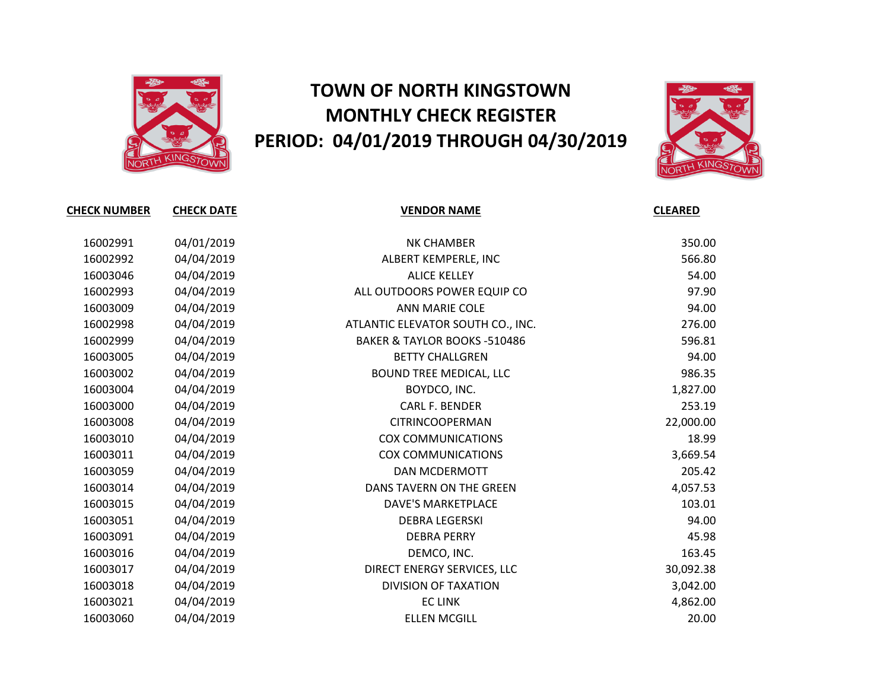

## **TOWN OF NORTH KINGSTOWN MONTHLY CHECK REGISTER PERIOD: 04/01/2019 THROUGH 04/30/2019**



| <b>CHECK NUMBER</b> | <b>CHECK DATE</b> | <b>VENDOR NAME</b>                      | <b>CLEARED</b> |
|---------------------|-------------------|-----------------------------------------|----------------|
|                     |                   |                                         |                |
| 16002991            | 04/01/2019        | <b>NK CHAMBER</b>                       | 350.00         |
| 16002992            | 04/04/2019        | ALBERT KEMPERLE, INC                    | 566.80         |
| 16003046            | 04/04/2019        | <b>ALICE KELLEY</b>                     | 54.00          |
| 16002993            | 04/04/2019        | ALL OUTDOORS POWER EQUIP CO             | 97.90          |
| 16003009            | 04/04/2019        | ANN MARIE COLE                          | 94.00          |
| 16002998            | 04/04/2019        | ATLANTIC ELEVATOR SOUTH CO., INC.       | 276.00         |
| 16002999            | 04/04/2019        | <b>BAKER &amp; TAYLOR BOOKS -510486</b> | 596.81         |
| 16003005            | 04/04/2019        | <b>BETTY CHALLGREN</b>                  | 94.00          |
| 16003002            | 04/04/2019        | BOUND TREE MEDICAL, LLC                 | 986.35         |
| 16003004            | 04/04/2019        | BOYDCO, INC.                            | 1,827.00       |
| 16003000            | 04/04/2019        | <b>CARL F. BENDER</b>                   | 253.19         |
| 16003008            | 04/04/2019        | <b>CITRINCOOPERMAN</b>                  | 22,000.00      |
| 16003010            | 04/04/2019        | <b>COX COMMUNICATIONS</b>               | 18.99          |
| 16003011            | 04/04/2019        | <b>COX COMMUNICATIONS</b>               | 3,669.54       |
| 16003059            | 04/04/2019        | <b>DAN MCDERMOTT</b>                    | 205.42         |
| 16003014            | 04/04/2019        | DANS TAVERN ON THE GREEN                | 4,057.53       |
| 16003015            | 04/04/2019        | <b>DAVE'S MARKETPLACE</b>               | 103.01         |
| 16003051            | 04/04/2019        | <b>DEBRA LEGERSKI</b>                   | 94.00          |
| 16003091            | 04/04/2019        | <b>DEBRA PERRY</b>                      | 45.98          |
| 16003016            | 04/04/2019        | DEMCO, INC.                             | 163.45         |
| 16003017            | 04/04/2019        | DIRECT ENERGY SERVICES, LLC             | 30,092.38      |
| 16003018            | 04/04/2019        | <b>DIVISION OF TAXATION</b>             | 3,042.00       |
| 16003021            | 04/04/2019        | <b>EC LINK</b>                          | 4,862.00       |
| 16003060            | 04/04/2019        | <b>ELLEN MCGILL</b>                     | 20.00          |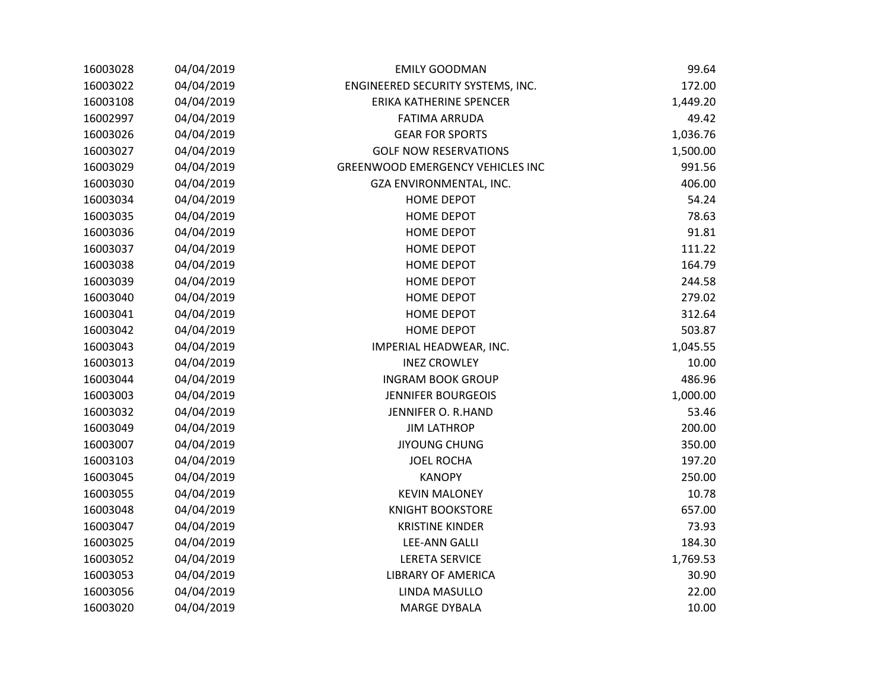| 16003028 | 04/04/2019 | <b>EMILY GOODMAN</b>                    | 99.64    |
|----------|------------|-----------------------------------------|----------|
| 16003022 | 04/04/2019 | ENGINEERED SECURITY SYSTEMS, INC.       | 172.00   |
| 16003108 | 04/04/2019 | ERIKA KATHERINE SPENCER                 | 1,449.20 |
| 16002997 | 04/04/2019 | <b>FATIMA ARRUDA</b>                    | 49.42    |
| 16003026 | 04/04/2019 | <b>GEAR FOR SPORTS</b>                  | 1,036.76 |
| 16003027 | 04/04/2019 | <b>GOLF NOW RESERVATIONS</b>            | 1,500.00 |
| 16003029 | 04/04/2019 | <b>GREENWOOD EMERGENCY VEHICLES INC</b> | 991.56   |
| 16003030 | 04/04/2019 | GZA ENVIRONMENTAL, INC.                 | 406.00   |
| 16003034 | 04/04/2019 | <b>HOME DEPOT</b>                       | 54.24    |
| 16003035 | 04/04/2019 | <b>HOME DEPOT</b>                       | 78.63    |
| 16003036 | 04/04/2019 | <b>HOME DEPOT</b>                       | 91.81    |
| 16003037 | 04/04/2019 | <b>HOME DEPOT</b>                       | 111.22   |
| 16003038 | 04/04/2019 | <b>HOME DEPOT</b>                       | 164.79   |
| 16003039 | 04/04/2019 | <b>HOME DEPOT</b>                       | 244.58   |
| 16003040 | 04/04/2019 | <b>HOME DEPOT</b>                       | 279.02   |
| 16003041 | 04/04/2019 | <b>HOME DEPOT</b>                       | 312.64   |
| 16003042 | 04/04/2019 | <b>HOME DEPOT</b>                       | 503.87   |
| 16003043 | 04/04/2019 | IMPERIAL HEADWEAR, INC.                 | 1,045.55 |
| 16003013 | 04/04/2019 | <b>INEZ CROWLEY</b>                     | 10.00    |
| 16003044 | 04/04/2019 | <b>INGRAM BOOK GROUP</b>                | 486.96   |
| 16003003 | 04/04/2019 | <b>JENNIFER BOURGEOIS</b>               | 1,000.00 |
| 16003032 | 04/04/2019 | JENNIFER O. R.HAND                      | 53.46    |
| 16003049 | 04/04/2019 | <b>JIM LATHROP</b>                      | 200.00   |
| 16003007 | 04/04/2019 | <b>JIYOUNG CHUNG</b>                    | 350.00   |
| 16003103 | 04/04/2019 | <b>JOEL ROCHA</b>                       | 197.20   |
| 16003045 | 04/04/2019 | <b>KANOPY</b>                           | 250.00   |
| 16003055 | 04/04/2019 | <b>KEVIN MALONEY</b>                    | 10.78    |
| 16003048 | 04/04/2019 | <b>KNIGHT BOOKSTORE</b>                 | 657.00   |
| 16003047 | 04/04/2019 | <b>KRISTINE KINDER</b>                  | 73.93    |
| 16003025 | 04/04/2019 | <b>LEE-ANN GALLI</b>                    | 184.30   |
| 16003052 | 04/04/2019 | <b>LERETA SERVICE</b>                   | 1,769.53 |
| 16003053 | 04/04/2019 | <b>LIBRARY OF AMERICA</b>               | 30.90    |
| 16003056 | 04/04/2019 | LINDA MASULLO                           | 22.00    |
| 16003020 | 04/04/2019 | <b>MARGE DYBALA</b>                     | 10.00    |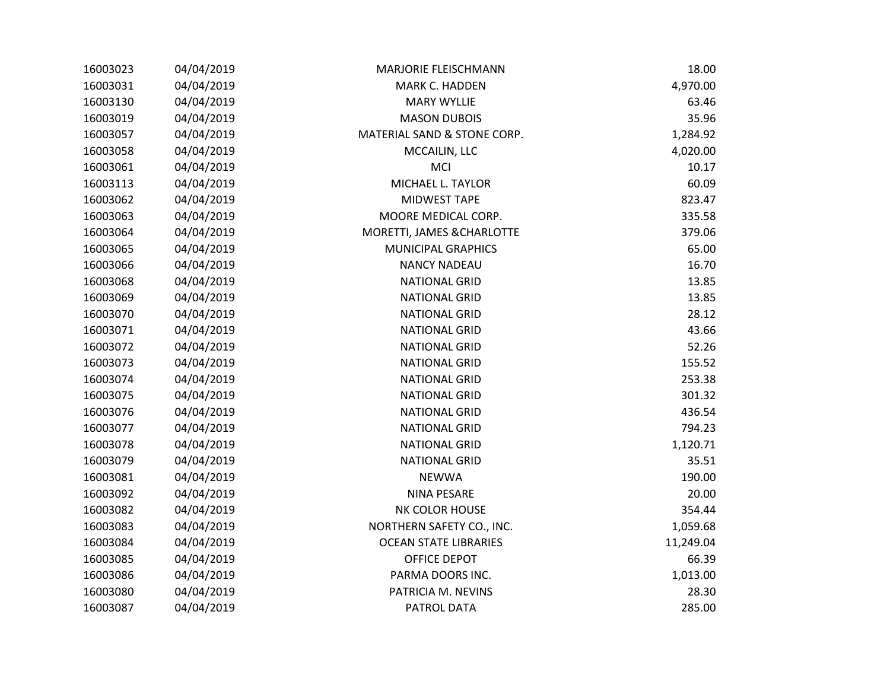| 16003023 | 04/04/2019 | <b>MARJORIE FLEISCHMANN</b>  | 18.00     |
|----------|------------|------------------------------|-----------|
| 16003031 | 04/04/2019 | <b>MARK C. HADDEN</b>        | 4,970.00  |
| 16003130 | 04/04/2019 | <b>MARY WYLLIE</b>           | 63.46     |
| 16003019 | 04/04/2019 | <b>MASON DUBOIS</b>          | 35.96     |
| 16003057 | 04/04/2019 | MATERIAL SAND & STONE CORP.  | 1,284.92  |
| 16003058 | 04/04/2019 | MCCAILIN, LLC                | 4,020.00  |
| 16003061 | 04/04/2019 | MCI                          | 10.17     |
| 16003113 | 04/04/2019 | MICHAEL L. TAYLOR            | 60.09     |
| 16003062 | 04/04/2019 | MIDWEST TAPE                 | 823.47    |
| 16003063 | 04/04/2019 | MOORE MEDICAL CORP.          | 335.58    |
| 16003064 | 04/04/2019 | MORETTI, JAMES & CHARLOTTE   | 379.06    |
| 16003065 | 04/04/2019 | <b>MUNICIPAL GRAPHICS</b>    | 65.00     |
| 16003066 | 04/04/2019 | <b>NANCY NADEAU</b>          | 16.70     |
| 16003068 | 04/04/2019 | <b>NATIONAL GRID</b>         | 13.85     |
| 16003069 | 04/04/2019 | <b>NATIONAL GRID</b>         | 13.85     |
| 16003070 | 04/04/2019 | <b>NATIONAL GRID</b>         | 28.12     |
| 16003071 | 04/04/2019 | <b>NATIONAL GRID</b>         | 43.66     |
| 16003072 | 04/04/2019 | <b>NATIONAL GRID</b>         | 52.26     |
| 16003073 | 04/04/2019 | <b>NATIONAL GRID</b>         | 155.52    |
| 16003074 | 04/04/2019 | <b>NATIONAL GRID</b>         | 253.38    |
| 16003075 | 04/04/2019 | <b>NATIONAL GRID</b>         | 301.32    |
| 16003076 | 04/04/2019 | <b>NATIONAL GRID</b>         | 436.54    |
| 16003077 | 04/04/2019 | <b>NATIONAL GRID</b>         | 794.23    |
| 16003078 | 04/04/2019 | <b>NATIONAL GRID</b>         | 1,120.71  |
| 16003079 | 04/04/2019 | <b>NATIONAL GRID</b>         | 35.51     |
| 16003081 | 04/04/2019 | <b>NEWWA</b>                 | 190.00    |
| 16003092 | 04/04/2019 | <b>NINA PESARE</b>           | 20.00     |
| 16003082 | 04/04/2019 | NK COLOR HOUSE               | 354.44    |
| 16003083 | 04/04/2019 | NORTHERN SAFETY CO., INC.    | 1,059.68  |
| 16003084 | 04/04/2019 | <b>OCEAN STATE LIBRARIES</b> | 11,249.04 |
| 16003085 | 04/04/2019 | OFFICE DEPOT                 | 66.39     |
| 16003086 | 04/04/2019 | PARMA DOORS INC.             | 1,013.00  |
| 16003080 | 04/04/2019 | PATRICIA M. NEVINS           | 28.30     |
| 16003087 | 04/04/2019 | PATROL DATA                  | 285.00    |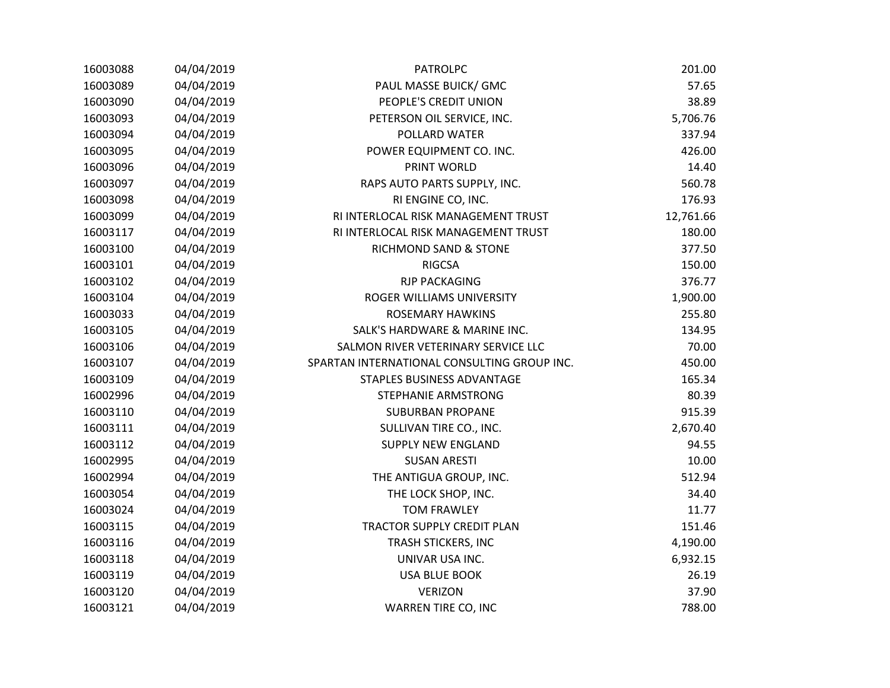| 16003088 | 04/04/2019 | <b>PATROLPC</b>                             | 201.00    |
|----------|------------|---------------------------------------------|-----------|
| 16003089 | 04/04/2019 | PAUL MASSE BUICK/ GMC                       | 57.65     |
| 16003090 | 04/04/2019 | PEOPLE'S CREDIT UNION                       | 38.89     |
| 16003093 | 04/04/2019 | PETERSON OIL SERVICE, INC.                  | 5,706.76  |
| 16003094 | 04/04/2019 | POLLARD WATER                               | 337.94    |
| 16003095 | 04/04/2019 | POWER EQUIPMENT CO. INC.                    | 426.00    |
| 16003096 | 04/04/2019 | PRINT WORLD                                 | 14.40     |
| 16003097 | 04/04/2019 | RAPS AUTO PARTS SUPPLY, INC.                | 560.78    |
| 16003098 | 04/04/2019 | RI ENGINE CO, INC.                          | 176.93    |
| 16003099 | 04/04/2019 | RI INTERLOCAL RISK MANAGEMENT TRUST         | 12,761.66 |
| 16003117 | 04/04/2019 | RI INTERLOCAL RISK MANAGEMENT TRUST         | 180.00    |
| 16003100 | 04/04/2019 | RICHMOND SAND & STONE                       | 377.50    |
| 16003101 | 04/04/2019 | <b>RIGCSA</b>                               | 150.00    |
| 16003102 | 04/04/2019 | <b>RJP PACKAGING</b>                        | 376.77    |
| 16003104 | 04/04/2019 | ROGER WILLIAMS UNIVERSITY                   | 1,900.00  |
| 16003033 | 04/04/2019 | <b>ROSEMARY HAWKINS</b>                     | 255.80    |
| 16003105 | 04/04/2019 | SALK'S HARDWARE & MARINE INC.               | 134.95    |
| 16003106 | 04/04/2019 | SALMON RIVER VETERINARY SERVICE LLC         | 70.00     |
| 16003107 | 04/04/2019 | SPARTAN INTERNATIONAL CONSULTING GROUP INC. | 450.00    |
| 16003109 | 04/04/2019 | STAPLES BUSINESS ADVANTAGE                  | 165.34    |
| 16002996 | 04/04/2019 | STEPHANIE ARMSTRONG                         | 80.39     |
| 16003110 | 04/04/2019 | <b>SUBURBAN PROPANE</b>                     | 915.39    |
| 16003111 | 04/04/2019 | SULLIVAN TIRE CO., INC.                     | 2,670.40  |
| 16003112 | 04/04/2019 | <b>SUPPLY NEW ENGLAND</b>                   | 94.55     |
| 16002995 | 04/04/2019 | <b>SUSAN ARESTI</b>                         | 10.00     |
| 16002994 | 04/04/2019 | THE ANTIGUA GROUP, INC.                     | 512.94    |
| 16003054 | 04/04/2019 | THE LOCK SHOP, INC.                         | 34.40     |
| 16003024 | 04/04/2019 | <b>TOM FRAWLEY</b>                          | 11.77     |
| 16003115 | 04/04/2019 | TRACTOR SUPPLY CREDIT PLAN                  | 151.46    |
| 16003116 | 04/04/2019 | TRASH STICKERS, INC                         | 4,190.00  |
| 16003118 | 04/04/2019 | UNIVAR USA INC.                             | 6,932.15  |
| 16003119 | 04/04/2019 | <b>USA BLUE BOOK</b>                        | 26.19     |
| 16003120 | 04/04/2019 | <b>VERIZON</b>                              | 37.90     |
| 16003121 | 04/04/2019 | WARREN TIRE CO, INC                         | 788.00    |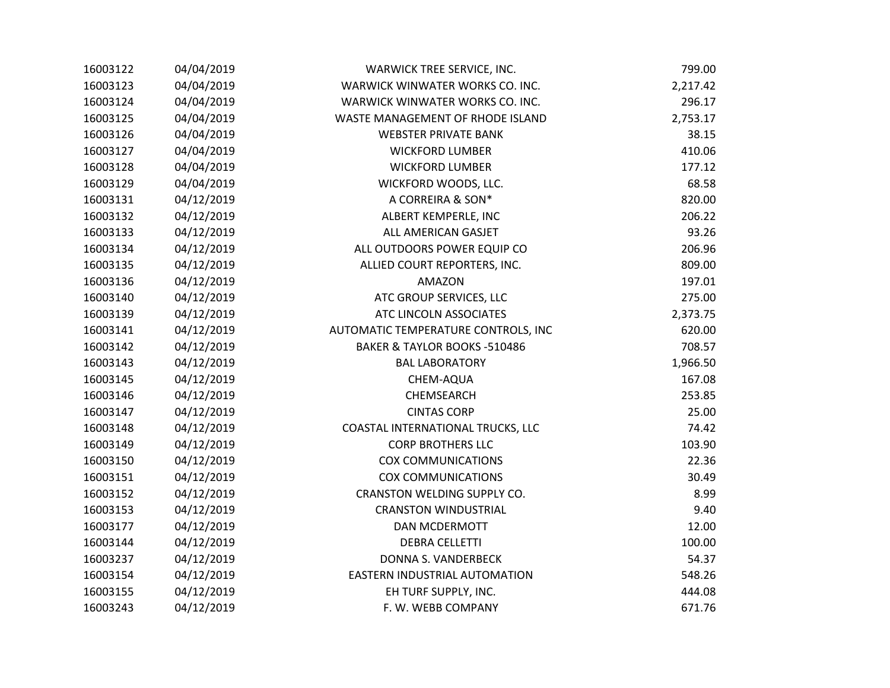| 16003122 | 04/04/2019 | WARWICK TREE SERVICE, INC.          | 799.00   |
|----------|------------|-------------------------------------|----------|
| 16003123 | 04/04/2019 | WARWICK WINWATER WORKS CO. INC.     | 2,217.42 |
| 16003124 | 04/04/2019 | WARWICK WINWATER WORKS CO. INC.     | 296.17   |
| 16003125 | 04/04/2019 | WASTE MANAGEMENT OF RHODE ISLAND    | 2,753.17 |
| 16003126 | 04/04/2019 | <b>WEBSTER PRIVATE BANK</b>         | 38.15    |
| 16003127 | 04/04/2019 | <b>WICKFORD LUMBER</b>              | 410.06   |
| 16003128 | 04/04/2019 | <b>WICKFORD LUMBER</b>              | 177.12   |
| 16003129 | 04/04/2019 | WICKFORD WOODS, LLC.                | 68.58    |
| 16003131 | 04/12/2019 | A CORREIRA & SON*                   | 820.00   |
| 16003132 | 04/12/2019 | ALBERT KEMPERLE, INC                | 206.22   |
| 16003133 | 04/12/2019 | ALL AMERICAN GASJET                 | 93.26    |
| 16003134 | 04/12/2019 | ALL OUTDOORS POWER EQUIP CO         | 206.96   |
| 16003135 | 04/12/2019 | ALLIED COURT REPORTERS, INC.        | 809.00   |
| 16003136 | 04/12/2019 | AMAZON                              | 197.01   |
| 16003140 | 04/12/2019 | ATC GROUP SERVICES, LLC             | 275.00   |
| 16003139 | 04/12/2019 | ATC LINCOLN ASSOCIATES              | 2,373.75 |
| 16003141 | 04/12/2019 | AUTOMATIC TEMPERATURE CONTROLS, INC | 620.00   |
| 16003142 | 04/12/2019 | BAKER & TAYLOR BOOKS -510486        | 708.57   |
| 16003143 | 04/12/2019 | <b>BAL LABORATORY</b>               | 1,966.50 |
| 16003145 | 04/12/2019 | CHEM-AQUA                           | 167.08   |
| 16003146 | 04/12/2019 | CHEMSEARCH                          | 253.85   |
| 16003147 | 04/12/2019 | <b>CINTAS CORP</b>                  | 25.00    |
| 16003148 | 04/12/2019 | COASTAL INTERNATIONAL TRUCKS, LLC   | 74.42    |
| 16003149 | 04/12/2019 | <b>CORP BROTHERS LLC</b>            | 103.90   |
| 16003150 | 04/12/2019 | <b>COX COMMUNICATIONS</b>           | 22.36    |
| 16003151 | 04/12/2019 | <b>COX COMMUNICATIONS</b>           | 30.49    |
| 16003152 | 04/12/2019 | CRANSTON WELDING SUPPLY CO.         | 8.99     |
| 16003153 | 04/12/2019 | <b>CRANSTON WINDUSTRIAL</b>         | 9.40     |
| 16003177 | 04/12/2019 | DAN MCDERMOTT                       | 12.00    |
| 16003144 | 04/12/2019 | <b>DEBRA CELLETTI</b>               | 100.00   |
| 16003237 | 04/12/2019 | DONNA S. VANDERBECK                 | 54.37    |
| 16003154 | 04/12/2019 | EASTERN INDUSTRIAL AUTOMATION       | 548.26   |
| 16003155 | 04/12/2019 | EH TURF SUPPLY, INC.                | 444.08   |
| 16003243 | 04/12/2019 | F. W. WEBB COMPANY                  | 671.76   |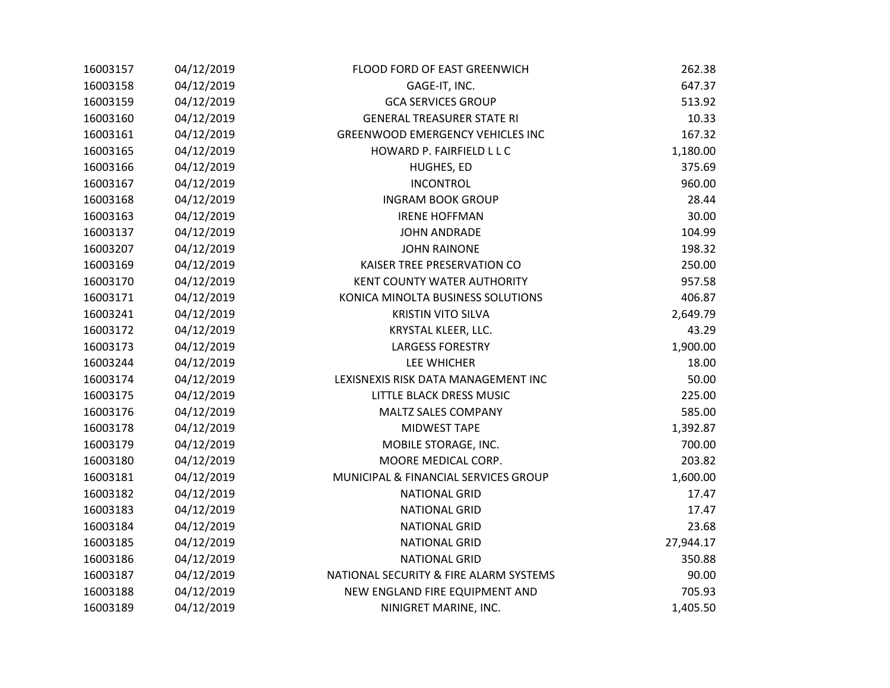| 16003157 | 04/12/2019 | FLOOD FORD OF EAST GREENWICH            | 262.38    |
|----------|------------|-----------------------------------------|-----------|
| 16003158 | 04/12/2019 | GAGE-IT, INC.                           | 647.37    |
| 16003159 | 04/12/2019 | <b>GCA SERVICES GROUP</b>               | 513.92    |
| 16003160 | 04/12/2019 | <b>GENERAL TREASURER STATE RI</b>       | 10.33     |
| 16003161 | 04/12/2019 | <b>GREENWOOD EMERGENCY VEHICLES INC</b> | 167.32    |
| 16003165 | 04/12/2019 | HOWARD P. FAIRFIELD L L C               | 1,180.00  |
| 16003166 | 04/12/2019 | HUGHES, ED                              | 375.69    |
| 16003167 | 04/12/2019 | <b>INCONTROL</b>                        | 960.00    |
| 16003168 | 04/12/2019 | <b>INGRAM BOOK GROUP</b>                | 28.44     |
| 16003163 | 04/12/2019 | <b>IRENE HOFFMAN</b>                    | 30.00     |
| 16003137 | 04/12/2019 | <b>JOHN ANDRADE</b>                     | 104.99    |
| 16003207 | 04/12/2019 | <b>JOHN RAINONE</b>                     | 198.32    |
| 16003169 | 04/12/2019 | KAISER TREE PRESERVATION CO             | 250.00    |
| 16003170 | 04/12/2019 | KENT COUNTY WATER AUTHORITY             | 957.58    |
| 16003171 | 04/12/2019 | KONICA MINOLTA BUSINESS SOLUTIONS       | 406.87    |
| 16003241 | 04/12/2019 | <b>KRISTIN VITO SILVA</b>               | 2,649.79  |
| 16003172 | 04/12/2019 | KRYSTAL KLEER, LLC.                     | 43.29     |
| 16003173 | 04/12/2019 | <b>LARGESS FORESTRY</b>                 | 1,900.00  |
| 16003244 | 04/12/2019 | LEE WHICHER                             | 18.00     |
| 16003174 | 04/12/2019 | LEXISNEXIS RISK DATA MANAGEMENT INC     | 50.00     |
| 16003175 | 04/12/2019 | LITTLE BLACK DRESS MUSIC                | 225.00    |
| 16003176 | 04/12/2019 | <b>MALTZ SALES COMPANY</b>              | 585.00    |
| 16003178 | 04/12/2019 | MIDWEST TAPE                            | 1,392.87  |
| 16003179 | 04/12/2019 | MOBILE STORAGE, INC.                    | 700.00    |
| 16003180 | 04/12/2019 | MOORE MEDICAL CORP.                     | 203.82    |
| 16003181 | 04/12/2019 | MUNICIPAL & FINANCIAL SERVICES GROUP    | 1,600.00  |
| 16003182 | 04/12/2019 | <b>NATIONAL GRID</b>                    | 17.47     |
| 16003183 | 04/12/2019 | <b>NATIONAL GRID</b>                    | 17.47     |
| 16003184 | 04/12/2019 | <b>NATIONAL GRID</b>                    | 23.68     |
| 16003185 | 04/12/2019 | <b>NATIONAL GRID</b>                    | 27,944.17 |
| 16003186 | 04/12/2019 | <b>NATIONAL GRID</b>                    | 350.88    |
| 16003187 | 04/12/2019 | NATIONAL SECURITY & FIRE ALARM SYSTEMS  | 90.00     |
| 16003188 | 04/12/2019 | NEW ENGLAND FIRE EQUIPMENT AND          | 705.93    |
| 16003189 | 04/12/2019 | NINIGRET MARINE, INC.                   | 1,405.50  |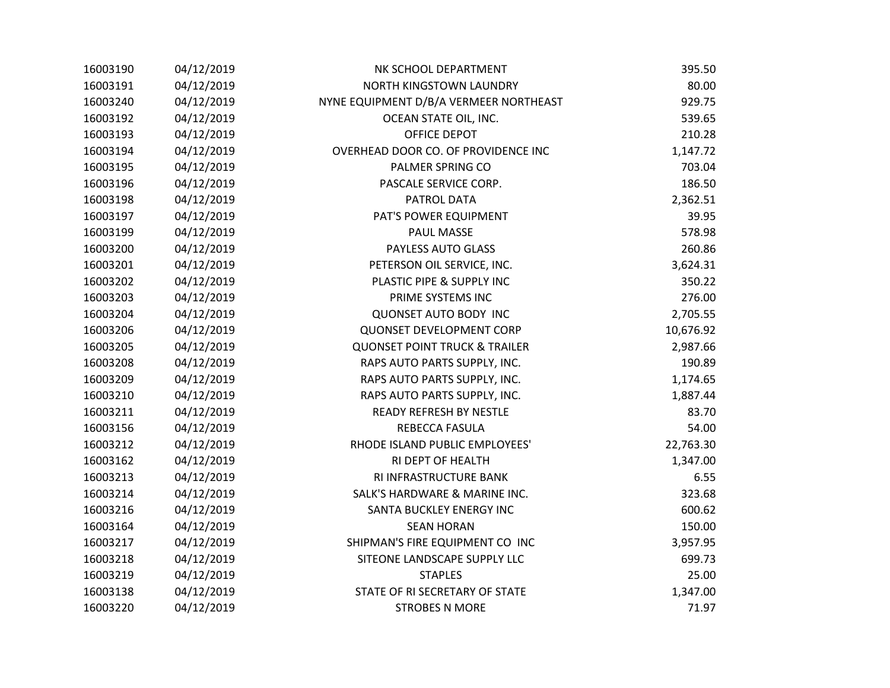| 16003190 | 04/12/2019 | NK SCHOOL DEPARTMENT                     | 395.50    |
|----------|------------|------------------------------------------|-----------|
| 16003191 | 04/12/2019 | NORTH KINGSTOWN LAUNDRY                  | 80.00     |
| 16003240 | 04/12/2019 | NYNE EQUIPMENT D/B/A VERMEER NORTHEAST   | 929.75    |
| 16003192 | 04/12/2019 | OCEAN STATE OIL, INC.                    | 539.65    |
| 16003193 | 04/12/2019 | OFFICE DEPOT                             | 210.28    |
| 16003194 | 04/12/2019 | OVERHEAD DOOR CO. OF PROVIDENCE INC      | 1,147.72  |
| 16003195 | 04/12/2019 | PALMER SPRING CO                         | 703.04    |
| 16003196 | 04/12/2019 | PASCALE SERVICE CORP.                    | 186.50    |
| 16003198 | 04/12/2019 | PATROL DATA                              | 2,362.51  |
| 16003197 | 04/12/2019 | PAT'S POWER EQUIPMENT                    | 39.95     |
| 16003199 | 04/12/2019 | <b>PAUL MASSE</b>                        | 578.98    |
| 16003200 | 04/12/2019 | PAYLESS AUTO GLASS                       | 260.86    |
| 16003201 | 04/12/2019 | PETERSON OIL SERVICE, INC.               | 3,624.31  |
| 16003202 | 04/12/2019 | PLASTIC PIPE & SUPPLY INC                | 350.22    |
| 16003203 | 04/12/2019 | PRIME SYSTEMS INC                        | 276.00    |
| 16003204 | 04/12/2019 | QUONSET AUTO BODY INC                    | 2,705.55  |
| 16003206 | 04/12/2019 | QUONSET DEVELOPMENT CORP                 | 10,676.92 |
| 16003205 | 04/12/2019 | <b>QUONSET POINT TRUCK &amp; TRAILER</b> | 2,987.66  |
| 16003208 | 04/12/2019 | RAPS AUTO PARTS SUPPLY, INC.             | 190.89    |
| 16003209 | 04/12/2019 | RAPS AUTO PARTS SUPPLY, INC.             | 1,174.65  |
| 16003210 | 04/12/2019 | RAPS AUTO PARTS SUPPLY, INC.             | 1,887.44  |
| 16003211 | 04/12/2019 | <b>READY REFRESH BY NESTLE</b>           | 83.70     |
| 16003156 | 04/12/2019 | REBECCA FASULA                           | 54.00     |
| 16003212 | 04/12/2019 | RHODE ISLAND PUBLIC EMPLOYEES'           | 22,763.30 |
| 16003162 | 04/12/2019 | RI DEPT OF HEALTH                        | 1,347.00  |
| 16003213 | 04/12/2019 | RI INFRASTRUCTURE BANK                   | 6.55      |
| 16003214 | 04/12/2019 | SALK'S HARDWARE & MARINE INC.            | 323.68    |
| 16003216 | 04/12/2019 | SANTA BUCKLEY ENERGY INC                 | 600.62    |
| 16003164 | 04/12/2019 | <b>SEAN HORAN</b>                        | 150.00    |
| 16003217 | 04/12/2019 | SHIPMAN'S FIRE EQUIPMENT CO INC          | 3,957.95  |
| 16003218 | 04/12/2019 | SITEONE LANDSCAPE SUPPLY LLC             | 699.73    |
| 16003219 | 04/12/2019 | <b>STAPLES</b>                           | 25.00     |
| 16003138 | 04/12/2019 | STATE OF RI SECRETARY OF STATE           | 1,347.00  |
| 16003220 | 04/12/2019 | <b>STROBES N MORE</b>                    | 71.97     |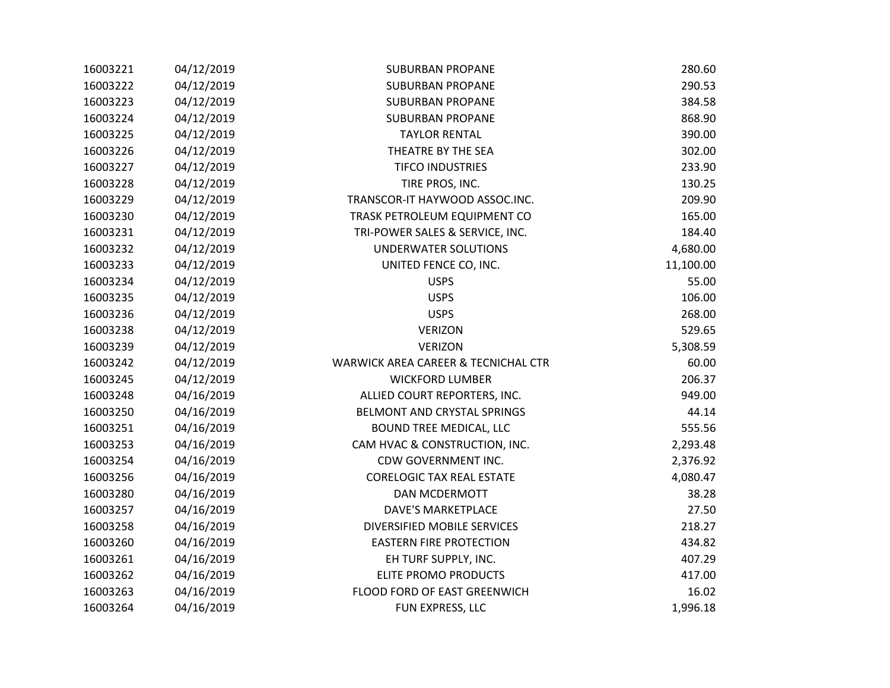| 16003221 | 04/12/2019 | <b>SUBURBAN PROPANE</b>             | 280.60    |
|----------|------------|-------------------------------------|-----------|
| 16003222 | 04/12/2019 | <b>SUBURBAN PROPANE</b>             | 290.53    |
| 16003223 | 04/12/2019 | <b>SUBURBAN PROPANE</b>             | 384.58    |
| 16003224 | 04/12/2019 | <b>SUBURBAN PROPANE</b>             | 868.90    |
| 16003225 | 04/12/2019 | <b>TAYLOR RENTAL</b>                | 390.00    |
| 16003226 | 04/12/2019 | THEATRE BY THE SEA                  | 302.00    |
| 16003227 | 04/12/2019 | <b>TIFCO INDUSTRIES</b>             | 233.90    |
| 16003228 | 04/12/2019 | TIRE PROS, INC.                     | 130.25    |
| 16003229 | 04/12/2019 | TRANSCOR-IT HAYWOOD ASSOC.INC.      | 209.90    |
| 16003230 | 04/12/2019 | TRASK PETROLEUM EQUIPMENT CO        | 165.00    |
| 16003231 | 04/12/2019 | TRI-POWER SALES & SERVICE, INC.     | 184.40    |
| 16003232 | 04/12/2019 | <b>UNDERWATER SOLUTIONS</b>         | 4,680.00  |
| 16003233 | 04/12/2019 | UNITED FENCE CO, INC.               | 11,100.00 |
| 16003234 | 04/12/2019 | <b>USPS</b>                         | 55.00     |
| 16003235 | 04/12/2019 | <b>USPS</b>                         | 106.00    |
| 16003236 | 04/12/2019 | <b>USPS</b>                         | 268.00    |
| 16003238 | 04/12/2019 | <b>VERIZON</b>                      | 529.65    |
| 16003239 | 04/12/2019 | <b>VERIZON</b>                      | 5,308.59  |
| 16003242 | 04/12/2019 | WARWICK AREA CAREER & TECNICHAL CTR | 60.00     |
| 16003245 | 04/12/2019 | <b>WICKFORD LUMBER</b>              | 206.37    |
| 16003248 | 04/16/2019 | ALLIED COURT REPORTERS, INC.        | 949.00    |
| 16003250 | 04/16/2019 | BELMONT AND CRYSTAL SPRINGS         | 44.14     |
| 16003251 | 04/16/2019 | <b>BOUND TREE MEDICAL, LLC</b>      | 555.56    |
| 16003253 | 04/16/2019 | CAM HVAC & CONSTRUCTION, INC.       | 2,293.48  |
| 16003254 | 04/16/2019 | CDW GOVERNMENT INC.                 | 2,376.92  |
| 16003256 | 04/16/2019 | <b>CORELOGIC TAX REAL ESTATE</b>    | 4,080.47  |
| 16003280 | 04/16/2019 | DAN MCDERMOTT                       | 38.28     |
| 16003257 | 04/16/2019 | <b>DAVE'S MARKETPLACE</b>           | 27.50     |
| 16003258 | 04/16/2019 | DIVERSIFIED MOBILE SERVICES         | 218.27    |
| 16003260 | 04/16/2019 | <b>EASTERN FIRE PROTECTION</b>      | 434.82    |
| 16003261 | 04/16/2019 | EH TURF SUPPLY, INC.                | 407.29    |
| 16003262 | 04/16/2019 | ELITE PROMO PRODUCTS                | 417.00    |
| 16003263 | 04/16/2019 | FLOOD FORD OF EAST GREENWICH        | 16.02     |
| 16003264 | 04/16/2019 | FUN EXPRESS, LLC                    | 1,996.18  |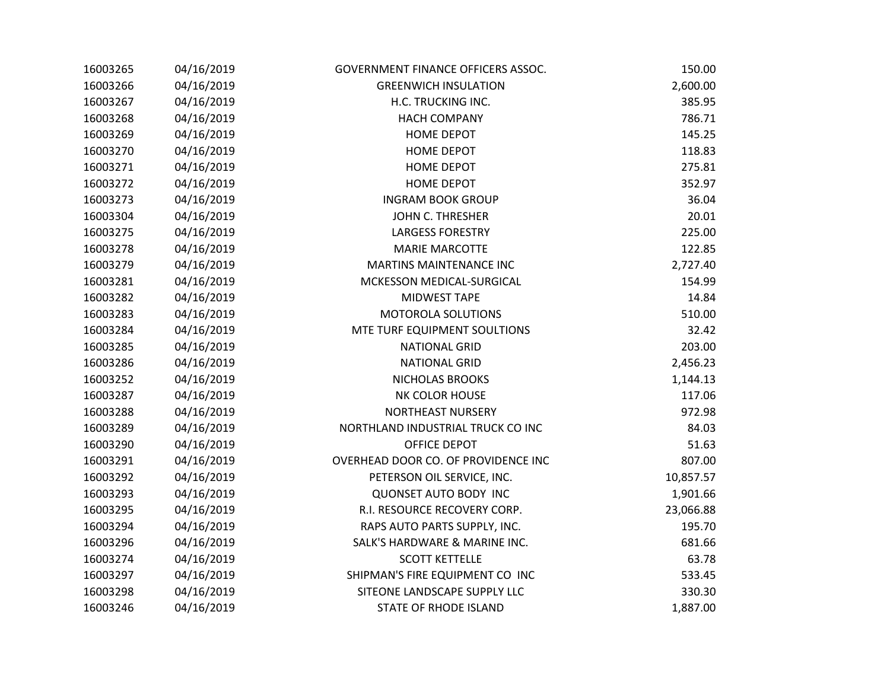| 16003265 | 04/16/2019 | GOVERNMENT FINANCE OFFICERS ASSOC.  | 150.00    |
|----------|------------|-------------------------------------|-----------|
| 16003266 | 04/16/2019 | <b>GREENWICH INSULATION</b>         | 2,600.00  |
| 16003267 | 04/16/2019 | H.C. TRUCKING INC.                  | 385.95    |
| 16003268 | 04/16/2019 | <b>HACH COMPANY</b>                 | 786.71    |
| 16003269 | 04/16/2019 | <b>HOME DEPOT</b>                   | 145.25    |
| 16003270 | 04/16/2019 | <b>HOME DEPOT</b>                   | 118.83    |
| 16003271 | 04/16/2019 | <b>HOME DEPOT</b>                   | 275.81    |
| 16003272 | 04/16/2019 | <b>HOME DEPOT</b>                   | 352.97    |
| 16003273 | 04/16/2019 | <b>INGRAM BOOK GROUP</b>            | 36.04     |
| 16003304 | 04/16/2019 | JOHN C. THRESHER                    | 20.01     |
| 16003275 | 04/16/2019 | <b>LARGESS FORESTRY</b>             | 225.00    |
| 16003278 | 04/16/2019 | <b>MARIE MARCOTTE</b>               | 122.85    |
| 16003279 | 04/16/2019 | <b>MARTINS MAINTENANCE INC</b>      | 2,727.40  |
| 16003281 | 04/16/2019 | MCKESSON MEDICAL-SURGICAL           | 154.99    |
| 16003282 | 04/16/2019 | <b>MIDWEST TAPE</b>                 | 14.84     |
| 16003283 | 04/16/2019 | MOTOROLA SOLUTIONS                  | 510.00    |
| 16003284 | 04/16/2019 | MTE TURF EQUIPMENT SOULTIONS        | 32.42     |
| 16003285 | 04/16/2019 | <b>NATIONAL GRID</b>                | 203.00    |
| 16003286 | 04/16/2019 | <b>NATIONAL GRID</b>                | 2,456.23  |
| 16003252 | 04/16/2019 | NICHOLAS BROOKS                     | 1,144.13  |
| 16003287 | 04/16/2019 | NK COLOR HOUSE                      | 117.06    |
| 16003288 | 04/16/2019 | NORTHEAST NURSERY                   | 972.98    |
| 16003289 | 04/16/2019 | NORTHLAND INDUSTRIAL TRUCK CO INC   | 84.03     |
| 16003290 | 04/16/2019 | OFFICE DEPOT                        | 51.63     |
| 16003291 | 04/16/2019 | OVERHEAD DOOR CO. OF PROVIDENCE INC | 807.00    |
| 16003292 | 04/16/2019 | PETERSON OIL SERVICE, INC.          | 10,857.57 |
| 16003293 | 04/16/2019 | <b>QUONSET AUTO BODY INC</b>        | 1,901.66  |
| 16003295 | 04/16/2019 | R.I. RESOURCE RECOVERY CORP.        | 23,066.88 |
| 16003294 | 04/16/2019 | RAPS AUTO PARTS SUPPLY, INC.        | 195.70    |
| 16003296 | 04/16/2019 | SALK'S HARDWARE & MARINE INC.       | 681.66    |
| 16003274 | 04/16/2019 | <b>SCOTT KETTELLE</b>               | 63.78     |
| 16003297 | 04/16/2019 | SHIPMAN'S FIRE EQUIPMENT CO INC     | 533.45    |
| 16003298 | 04/16/2019 | SITEONE LANDSCAPE SUPPLY LLC        | 330.30    |
| 16003246 | 04/16/2019 | <b>STATE OF RHODE ISLAND</b>        | 1,887.00  |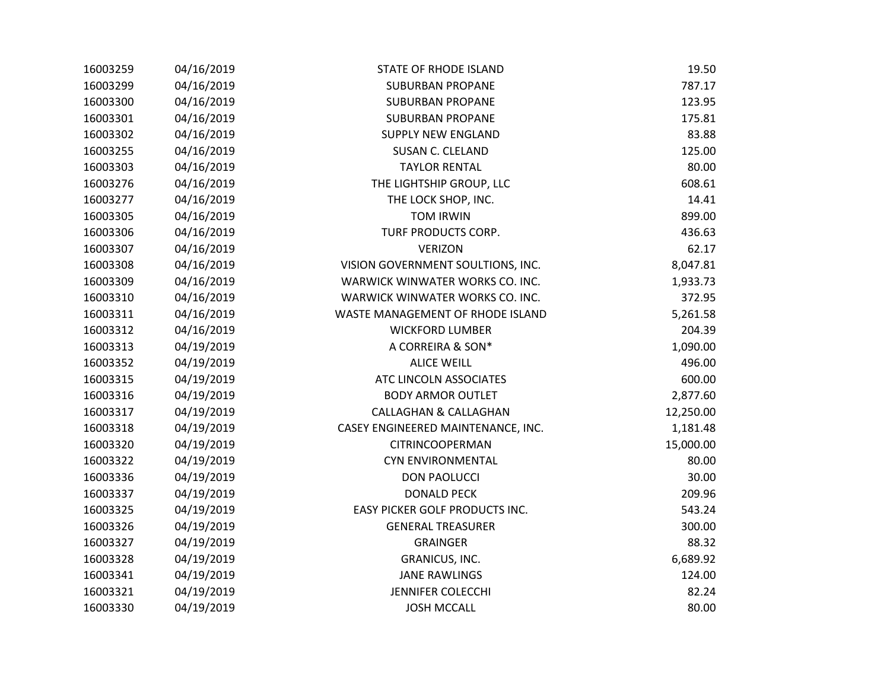| 16003259 | 04/16/2019 | <b>STATE OF RHODE ISLAND</b>       | 19.50     |
|----------|------------|------------------------------------|-----------|
| 16003299 | 04/16/2019 | <b>SUBURBAN PROPANE</b>            | 787.17    |
| 16003300 | 04/16/2019 | <b>SUBURBAN PROPANE</b>            | 123.95    |
| 16003301 | 04/16/2019 | <b>SUBURBAN PROPANE</b>            | 175.81    |
| 16003302 | 04/16/2019 | <b>SUPPLY NEW ENGLAND</b>          | 83.88     |
| 16003255 | 04/16/2019 | <b>SUSAN C. CLELAND</b>            | 125.00    |
| 16003303 | 04/16/2019 | <b>TAYLOR RENTAL</b>               | 80.00     |
| 16003276 | 04/16/2019 | THE LIGHTSHIP GROUP, LLC           | 608.61    |
| 16003277 | 04/16/2019 | THE LOCK SHOP, INC.                | 14.41     |
| 16003305 | 04/16/2019 | <b>TOM IRWIN</b>                   | 899.00    |
| 16003306 | 04/16/2019 | TURF PRODUCTS CORP.                | 436.63    |
| 16003307 | 04/16/2019 | <b>VERIZON</b>                     | 62.17     |
| 16003308 | 04/16/2019 | VISION GOVERNMENT SOULTIONS, INC.  | 8,047.81  |
| 16003309 | 04/16/2019 | WARWICK WINWATER WORKS CO. INC.    | 1,933.73  |
| 16003310 | 04/16/2019 | WARWICK WINWATER WORKS CO. INC.    | 372.95    |
| 16003311 | 04/16/2019 | WASTE MANAGEMENT OF RHODE ISLAND   | 5,261.58  |
| 16003312 | 04/16/2019 | <b>WICKFORD LUMBER</b>             | 204.39    |
| 16003313 | 04/19/2019 | A CORREIRA & SON*                  | 1,090.00  |
| 16003352 | 04/19/2019 | <b>ALICE WEILL</b>                 | 496.00    |
| 16003315 | 04/19/2019 | ATC LINCOLN ASSOCIATES             | 600.00    |
| 16003316 | 04/19/2019 | <b>BODY ARMOR OUTLET</b>           | 2,877.60  |
| 16003317 | 04/19/2019 | <b>CALLAGHAN &amp; CALLAGHAN</b>   | 12,250.00 |
| 16003318 | 04/19/2019 | CASEY ENGINEERED MAINTENANCE, INC. | 1,181.48  |
| 16003320 | 04/19/2019 | CITRINCOOPERMAN                    | 15,000.00 |
| 16003322 | 04/19/2019 | CYN ENVIRONMENTAL                  | 80.00     |
| 16003336 | 04/19/2019 | <b>DON PAOLUCCI</b>                | 30.00     |
| 16003337 | 04/19/2019 | <b>DONALD PECK</b>                 | 209.96    |
| 16003325 | 04/19/2019 | EASY PICKER GOLF PRODUCTS INC.     | 543.24    |
| 16003326 | 04/19/2019 | <b>GENERAL TREASURER</b>           | 300.00    |
| 16003327 | 04/19/2019 | <b>GRAINGER</b>                    | 88.32     |
| 16003328 | 04/19/2019 | GRANICUS, INC.                     | 6,689.92  |
| 16003341 | 04/19/2019 | <b>JANE RAWLINGS</b>               | 124.00    |
| 16003321 | 04/19/2019 | <b>JENNIFER COLECCHI</b>           | 82.24     |
| 16003330 | 04/19/2019 | <b>JOSH MCCALL</b>                 | 80.00     |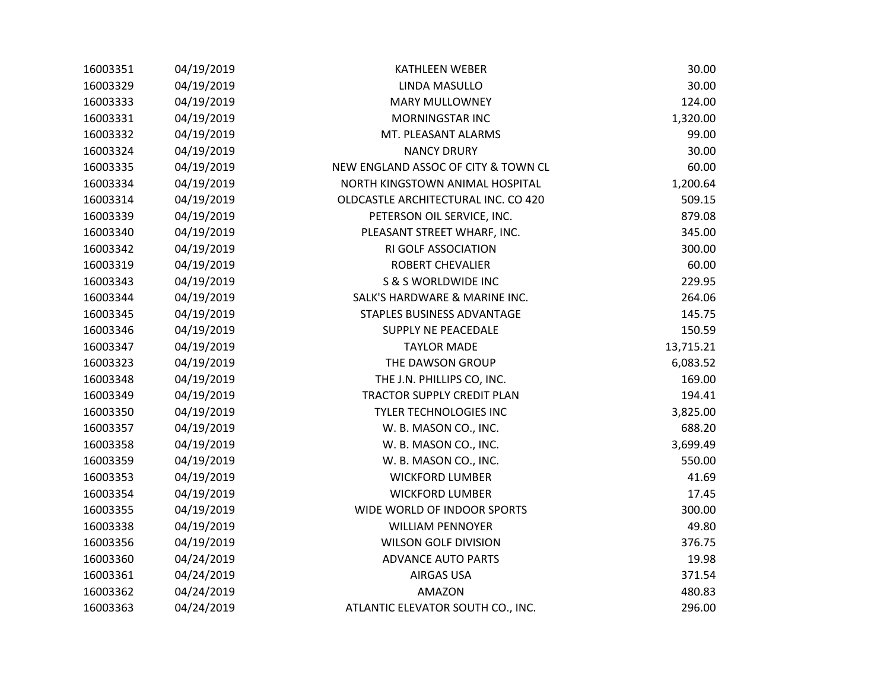| 16003351 | 04/19/2019 | <b>KATHLEEN WEBER</b>               | 30.00     |
|----------|------------|-------------------------------------|-----------|
| 16003329 | 04/19/2019 | LINDA MASULLO                       | 30.00     |
| 16003333 | 04/19/2019 | <b>MARY MULLOWNEY</b>               | 124.00    |
| 16003331 | 04/19/2019 | <b>MORNINGSTAR INC</b>              | 1,320.00  |
| 16003332 | 04/19/2019 | MT. PLEASANT ALARMS                 | 99.00     |
| 16003324 | 04/19/2019 | <b>NANCY DRURY</b>                  | 30.00     |
| 16003335 | 04/19/2019 | NEW ENGLAND ASSOC OF CITY & TOWN CL | 60.00     |
| 16003334 | 04/19/2019 | NORTH KINGSTOWN ANIMAL HOSPITAL     | 1,200.64  |
| 16003314 | 04/19/2019 | OLDCASTLE ARCHITECTURAL INC. CO 420 | 509.15    |
| 16003339 | 04/19/2019 | PETERSON OIL SERVICE, INC.          | 879.08    |
| 16003340 | 04/19/2019 | PLEASANT STREET WHARF, INC.         | 345.00    |
| 16003342 | 04/19/2019 | RI GOLF ASSOCIATION                 | 300.00    |
| 16003319 | 04/19/2019 | ROBERT CHEVALIER                    | 60.00     |
| 16003343 | 04/19/2019 | <b>S &amp; S WORLDWIDE INC</b>      | 229.95    |
| 16003344 | 04/19/2019 | SALK'S HARDWARE & MARINE INC.       | 264.06    |
| 16003345 | 04/19/2019 | STAPLES BUSINESS ADVANTAGE          | 145.75    |
| 16003346 | 04/19/2019 | SUPPLY NE PEACEDALE                 | 150.59    |
| 16003347 | 04/19/2019 | <b>TAYLOR MADE</b>                  | 13,715.21 |
| 16003323 | 04/19/2019 | THE DAWSON GROUP                    | 6,083.52  |
| 16003348 | 04/19/2019 | THE J.N. PHILLIPS CO, INC.          | 169.00    |
| 16003349 | 04/19/2019 | TRACTOR SUPPLY CREDIT PLAN          | 194.41    |
| 16003350 | 04/19/2019 | <b>TYLER TECHNOLOGIES INC</b>       | 3,825.00  |
| 16003357 | 04/19/2019 | W. B. MASON CO., INC.               | 688.20    |
| 16003358 | 04/19/2019 | W. B. MASON CO., INC.               | 3,699.49  |
| 16003359 | 04/19/2019 | W. B. MASON CO., INC.               | 550.00    |
| 16003353 | 04/19/2019 | <b>WICKFORD LUMBER</b>              | 41.69     |
| 16003354 | 04/19/2019 | <b>WICKFORD LUMBER</b>              | 17.45     |
| 16003355 | 04/19/2019 | WIDE WORLD OF INDOOR SPORTS         | 300.00    |
| 16003338 | 04/19/2019 | <b>WILLIAM PENNOYER</b>             | 49.80     |
| 16003356 | 04/19/2019 | <b>WILSON GOLF DIVISION</b>         | 376.75    |
| 16003360 | 04/24/2019 | <b>ADVANCE AUTO PARTS</b>           | 19.98     |
| 16003361 | 04/24/2019 | <b>AIRGAS USA</b>                   | 371.54    |
| 16003362 | 04/24/2019 | AMAZON                              | 480.83    |
| 16003363 | 04/24/2019 | ATLANTIC ELEVATOR SOUTH CO., INC.   | 296.00    |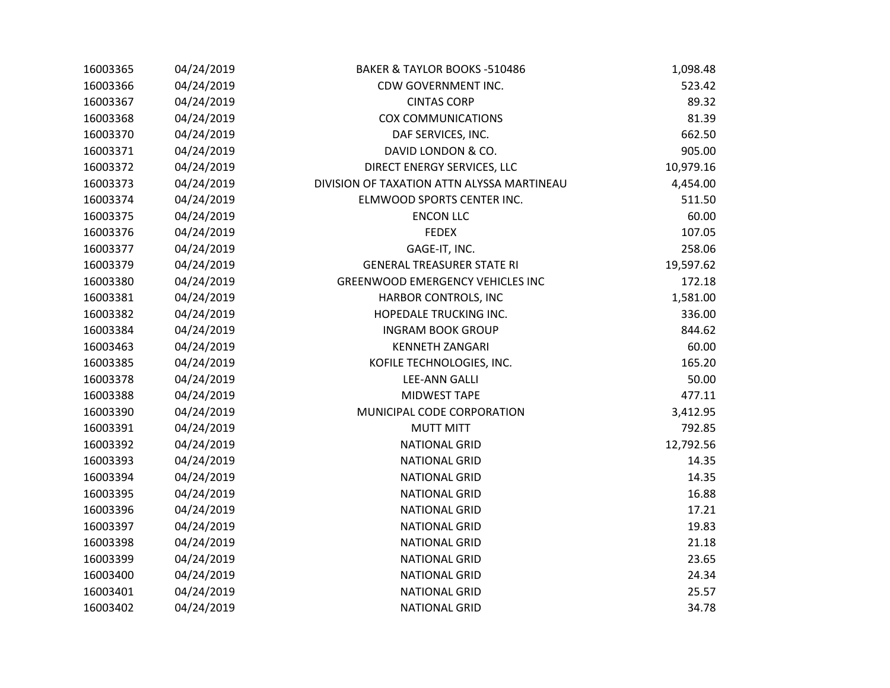| 16003365 | 04/24/2019 | BAKER & TAYLOR BOOKS -510486               | 1,098.48  |
|----------|------------|--------------------------------------------|-----------|
| 16003366 | 04/24/2019 | CDW GOVERNMENT INC.                        | 523.42    |
| 16003367 | 04/24/2019 | <b>CINTAS CORP</b>                         | 89.32     |
| 16003368 | 04/24/2019 | <b>COX COMMUNICATIONS</b>                  | 81.39     |
| 16003370 | 04/24/2019 | DAF SERVICES, INC.                         | 662.50    |
| 16003371 | 04/24/2019 | DAVID LONDON & CO.                         | 905.00    |
| 16003372 | 04/24/2019 | DIRECT ENERGY SERVICES, LLC                | 10,979.16 |
| 16003373 | 04/24/2019 | DIVISION OF TAXATION ATTN ALYSSA MARTINEAU | 4,454.00  |
| 16003374 | 04/24/2019 | ELMWOOD SPORTS CENTER INC.                 | 511.50    |
| 16003375 | 04/24/2019 | <b>ENCON LLC</b>                           | 60.00     |
| 16003376 | 04/24/2019 | <b>FEDEX</b>                               | 107.05    |
| 16003377 | 04/24/2019 | GAGE-IT, INC.                              | 258.06    |
| 16003379 | 04/24/2019 | <b>GENERAL TREASURER STATE RI</b>          | 19,597.62 |
| 16003380 | 04/24/2019 | <b>GREENWOOD EMERGENCY VEHICLES INC</b>    | 172.18    |
| 16003381 | 04/24/2019 | HARBOR CONTROLS, INC                       | 1,581.00  |
| 16003382 | 04/24/2019 | HOPEDALE TRUCKING INC.                     | 336.00    |
| 16003384 | 04/24/2019 | <b>INGRAM BOOK GROUP</b>                   | 844.62    |
| 16003463 | 04/24/2019 | <b>KENNETH ZANGARI</b>                     | 60.00     |
| 16003385 | 04/24/2019 | KOFILE TECHNOLOGIES, INC.                  | 165.20    |
| 16003378 | 04/24/2019 | <b>LEE-ANN GALLI</b>                       | 50.00     |
| 16003388 | 04/24/2019 | <b>MIDWEST TAPE</b>                        | 477.11    |
| 16003390 | 04/24/2019 | MUNICIPAL CODE CORPORATION                 | 3,412.95  |
| 16003391 | 04/24/2019 | <b>MUTT MITT</b>                           | 792.85    |
| 16003392 | 04/24/2019 | <b>NATIONAL GRID</b>                       | 12,792.56 |
| 16003393 | 04/24/2019 | <b>NATIONAL GRID</b>                       | 14.35     |
| 16003394 | 04/24/2019 | <b>NATIONAL GRID</b>                       | 14.35     |
| 16003395 | 04/24/2019 | <b>NATIONAL GRID</b>                       | 16.88     |
| 16003396 | 04/24/2019 | <b>NATIONAL GRID</b>                       | 17.21     |
| 16003397 | 04/24/2019 | <b>NATIONAL GRID</b>                       | 19.83     |
| 16003398 | 04/24/2019 | <b>NATIONAL GRID</b>                       | 21.18     |
| 16003399 | 04/24/2019 | <b>NATIONAL GRID</b>                       | 23.65     |
| 16003400 | 04/24/2019 | <b>NATIONAL GRID</b>                       | 24.34     |
| 16003401 | 04/24/2019 | <b>NATIONAL GRID</b>                       | 25.57     |
| 16003402 | 04/24/2019 | <b>NATIONAL GRID</b>                       | 34.78     |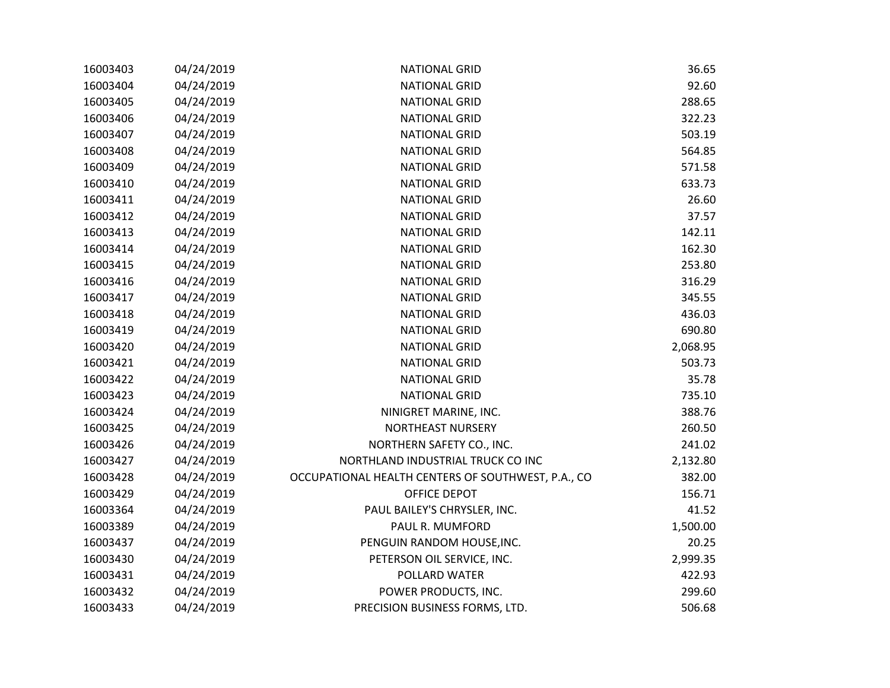| 16003403 | 04/24/2019 | <b>NATIONAL GRID</b>                               | 36.65    |
|----------|------------|----------------------------------------------------|----------|
| 16003404 | 04/24/2019 | <b>NATIONAL GRID</b>                               | 92.60    |
| 16003405 | 04/24/2019 | <b>NATIONAL GRID</b>                               | 288.65   |
| 16003406 | 04/24/2019 | <b>NATIONAL GRID</b>                               | 322.23   |
| 16003407 | 04/24/2019 | <b>NATIONAL GRID</b>                               | 503.19   |
| 16003408 | 04/24/2019 | <b>NATIONAL GRID</b>                               | 564.85   |
| 16003409 | 04/24/2019 | <b>NATIONAL GRID</b>                               | 571.58   |
| 16003410 | 04/24/2019 | <b>NATIONAL GRID</b>                               | 633.73   |
| 16003411 | 04/24/2019 | <b>NATIONAL GRID</b>                               | 26.60    |
| 16003412 | 04/24/2019 | <b>NATIONAL GRID</b>                               | 37.57    |
| 16003413 | 04/24/2019 | <b>NATIONAL GRID</b>                               | 142.11   |
| 16003414 | 04/24/2019 | <b>NATIONAL GRID</b>                               | 162.30   |
| 16003415 | 04/24/2019 | <b>NATIONAL GRID</b>                               | 253.80   |
| 16003416 | 04/24/2019 | <b>NATIONAL GRID</b>                               | 316.29   |
| 16003417 | 04/24/2019 | <b>NATIONAL GRID</b>                               | 345.55   |
| 16003418 | 04/24/2019 | <b>NATIONAL GRID</b>                               | 436.03   |
| 16003419 | 04/24/2019 | <b>NATIONAL GRID</b>                               | 690.80   |
| 16003420 | 04/24/2019 | <b>NATIONAL GRID</b>                               | 2,068.95 |
| 16003421 | 04/24/2019 | <b>NATIONAL GRID</b>                               | 503.73   |
| 16003422 | 04/24/2019 | <b>NATIONAL GRID</b>                               | 35.78    |
| 16003423 | 04/24/2019 | <b>NATIONAL GRID</b>                               | 735.10   |
| 16003424 | 04/24/2019 | NINIGRET MARINE, INC.                              | 388.76   |
| 16003425 | 04/24/2019 | <b>NORTHEAST NURSERY</b>                           | 260.50   |
| 16003426 | 04/24/2019 | NORTHERN SAFETY CO., INC.                          | 241.02   |
| 16003427 | 04/24/2019 | NORTHLAND INDUSTRIAL TRUCK CO INC                  | 2,132.80 |
| 16003428 | 04/24/2019 | OCCUPATIONAL HEALTH CENTERS OF SOUTHWEST, P.A., CO | 382.00   |
| 16003429 | 04/24/2019 | OFFICE DEPOT                                       | 156.71   |
| 16003364 | 04/24/2019 | PAUL BAILEY'S CHRYSLER, INC.                       | 41.52    |
| 16003389 | 04/24/2019 | PAUL R. MUMFORD                                    | 1,500.00 |
| 16003437 | 04/24/2019 | PENGUIN RANDOM HOUSE, INC.                         | 20.25    |
| 16003430 | 04/24/2019 | PETERSON OIL SERVICE, INC.                         | 2,999.35 |
| 16003431 | 04/24/2019 | POLLARD WATER                                      | 422.93   |
| 16003432 | 04/24/2019 | POWER PRODUCTS, INC.                               | 299.60   |
| 16003433 | 04/24/2019 | PRECISION BUSINESS FORMS, LTD.                     | 506.68   |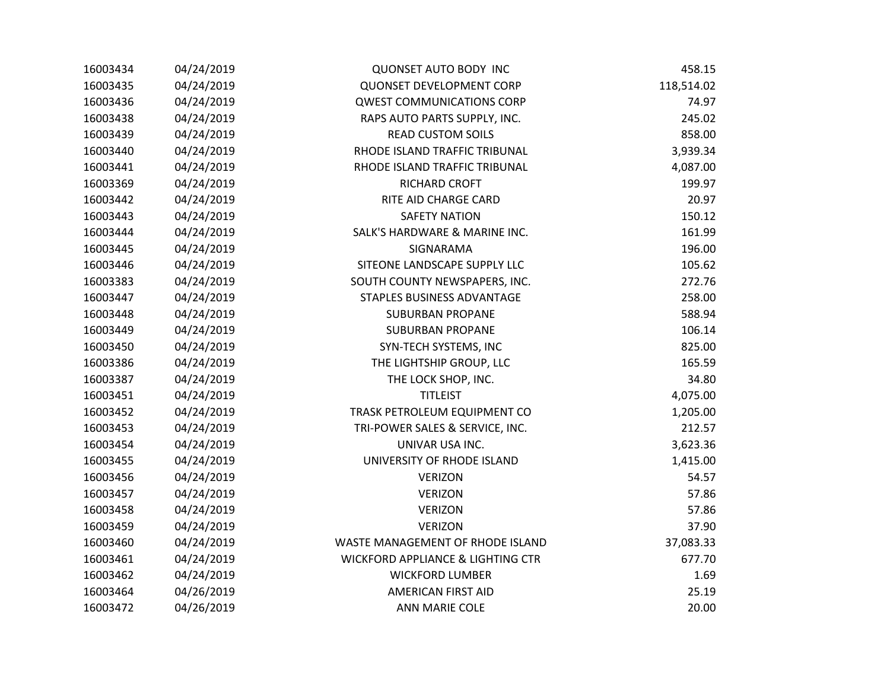| 16003434 | 04/24/2019 | <b>QUONSET AUTO BODY INC</b>                 | 458.15     |
|----------|------------|----------------------------------------------|------------|
| 16003435 | 04/24/2019 | <b>QUONSET DEVELOPMENT CORP</b>              | 118,514.02 |
| 16003436 | 04/24/2019 | <b>QWEST COMMUNICATIONS CORP</b>             | 74.97      |
| 16003438 | 04/24/2019 | RAPS AUTO PARTS SUPPLY, INC.                 | 245.02     |
| 16003439 | 04/24/2019 | <b>READ CUSTOM SOILS</b>                     | 858.00     |
| 16003440 | 04/24/2019 | RHODE ISLAND TRAFFIC TRIBUNAL                | 3,939.34   |
| 16003441 | 04/24/2019 | RHODE ISLAND TRAFFIC TRIBUNAL                | 4,087.00   |
| 16003369 | 04/24/2019 | RICHARD CROFT                                | 199.97     |
| 16003442 | 04/24/2019 | RITE AID CHARGE CARD                         | 20.97      |
| 16003443 | 04/24/2019 | <b>SAFETY NATION</b>                         | 150.12     |
| 16003444 | 04/24/2019 | SALK'S HARDWARE & MARINE INC.                | 161.99     |
| 16003445 | 04/24/2019 | SIGNARAMA                                    | 196.00     |
| 16003446 | 04/24/2019 | SITEONE LANDSCAPE SUPPLY LLC                 | 105.62     |
| 16003383 | 04/24/2019 | SOUTH COUNTY NEWSPAPERS, INC.                | 272.76     |
| 16003447 | 04/24/2019 | STAPLES BUSINESS ADVANTAGE                   | 258.00     |
| 16003448 | 04/24/2019 | <b>SUBURBAN PROPANE</b>                      | 588.94     |
| 16003449 | 04/24/2019 | <b>SUBURBAN PROPANE</b>                      | 106.14     |
| 16003450 | 04/24/2019 | SYN-TECH SYSTEMS, INC                        | 825.00     |
| 16003386 | 04/24/2019 | THE LIGHTSHIP GROUP, LLC                     | 165.59     |
| 16003387 | 04/24/2019 | THE LOCK SHOP, INC.                          | 34.80      |
| 16003451 | 04/24/2019 | <b>TITLEIST</b>                              | 4,075.00   |
| 16003452 | 04/24/2019 | TRASK PETROLEUM EQUIPMENT CO                 | 1,205.00   |
| 16003453 | 04/24/2019 | TRI-POWER SALES & SERVICE, INC.              | 212.57     |
| 16003454 | 04/24/2019 | UNIVAR USA INC.                              | 3,623.36   |
| 16003455 | 04/24/2019 | UNIVERSITY OF RHODE ISLAND                   | 1,415.00   |
| 16003456 | 04/24/2019 | <b>VERIZON</b>                               | 54.57      |
| 16003457 | 04/24/2019 | <b>VERIZON</b>                               | 57.86      |
| 16003458 | 04/24/2019 | <b>VERIZON</b>                               | 57.86      |
| 16003459 | 04/24/2019 | <b>VERIZON</b>                               | 37.90      |
| 16003460 | 04/24/2019 | WASTE MANAGEMENT OF RHODE ISLAND             | 37,083.33  |
| 16003461 | 04/24/2019 | <b>WICKFORD APPLIANCE &amp; LIGHTING CTR</b> | 677.70     |
| 16003462 | 04/24/2019 | <b>WICKFORD LUMBER</b>                       | 1.69       |
| 16003464 | 04/26/2019 | <b>AMERICAN FIRST AID</b>                    | 25.19      |
| 16003472 | 04/26/2019 | <b>ANN MARIE COLE</b>                        | 20.00      |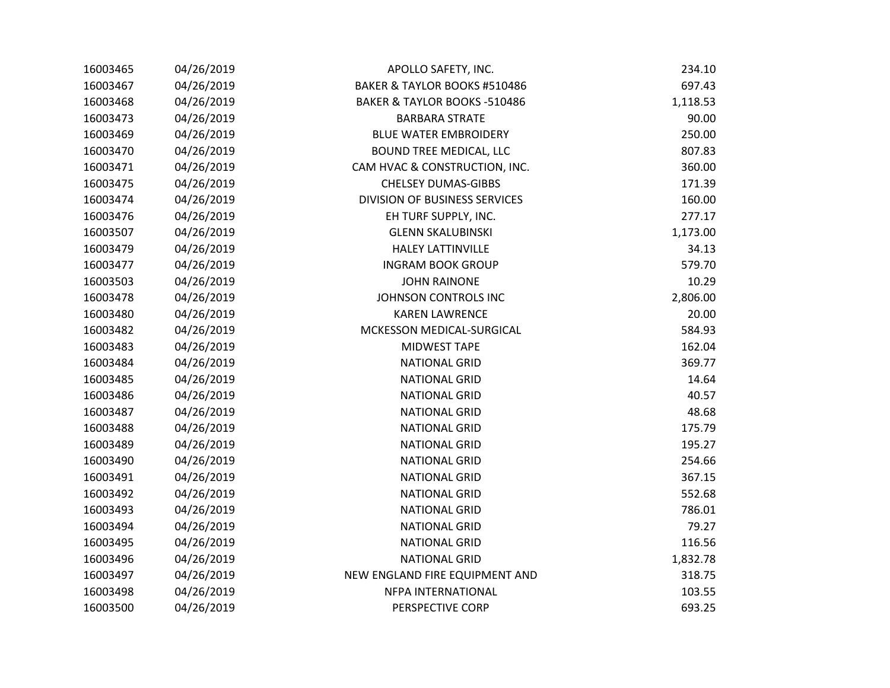| 16003465 | 04/26/2019 | APOLLO SAFETY, INC.                     | 234.10   |
|----------|------------|-----------------------------------------|----------|
| 16003467 | 04/26/2019 | BAKER & TAYLOR BOOKS #510486            | 697.43   |
| 16003468 | 04/26/2019 | <b>BAKER &amp; TAYLOR BOOKS -510486</b> | 1,118.53 |
| 16003473 | 04/26/2019 | <b>BARBARA STRATE</b>                   | 90.00    |
| 16003469 | 04/26/2019 | <b>BLUE WATER EMBROIDERY</b>            | 250.00   |
| 16003470 | 04/26/2019 | BOUND TREE MEDICAL, LLC                 | 807.83   |
| 16003471 | 04/26/2019 | CAM HVAC & CONSTRUCTION, INC.           | 360.00   |
| 16003475 | 04/26/2019 | <b>CHELSEY DUMAS-GIBBS</b>              | 171.39   |
| 16003474 | 04/26/2019 | <b>DIVISION OF BUSINESS SERVICES</b>    | 160.00   |
| 16003476 | 04/26/2019 | EH TURF SUPPLY, INC.                    | 277.17   |
| 16003507 | 04/26/2019 | <b>GLENN SKALUBINSKI</b>                | 1,173.00 |
| 16003479 | 04/26/2019 | <b>HALEY LATTINVILLE</b>                | 34.13    |
| 16003477 | 04/26/2019 | <b>INGRAM BOOK GROUP</b>                | 579.70   |
| 16003503 | 04/26/2019 | <b>JOHN RAINONE</b>                     | 10.29    |
| 16003478 | 04/26/2019 | JOHNSON CONTROLS INC                    | 2,806.00 |
| 16003480 | 04/26/2019 | <b>KAREN LAWRENCE</b>                   | 20.00    |
| 16003482 | 04/26/2019 | MCKESSON MEDICAL-SURGICAL               | 584.93   |
| 16003483 | 04/26/2019 | <b>MIDWEST TAPE</b>                     | 162.04   |
| 16003484 | 04/26/2019 | <b>NATIONAL GRID</b>                    | 369.77   |
| 16003485 | 04/26/2019 | <b>NATIONAL GRID</b>                    | 14.64    |
| 16003486 | 04/26/2019 | <b>NATIONAL GRID</b>                    | 40.57    |
| 16003487 | 04/26/2019 | <b>NATIONAL GRID</b>                    | 48.68    |
| 16003488 | 04/26/2019 | <b>NATIONAL GRID</b>                    | 175.79   |
| 16003489 | 04/26/2019 | <b>NATIONAL GRID</b>                    | 195.27   |
| 16003490 | 04/26/2019 | <b>NATIONAL GRID</b>                    | 254.66   |
| 16003491 | 04/26/2019 | <b>NATIONAL GRID</b>                    | 367.15   |
| 16003492 | 04/26/2019 | <b>NATIONAL GRID</b>                    | 552.68   |
| 16003493 | 04/26/2019 | <b>NATIONAL GRID</b>                    | 786.01   |
| 16003494 | 04/26/2019 | <b>NATIONAL GRID</b>                    | 79.27    |
| 16003495 | 04/26/2019 | <b>NATIONAL GRID</b>                    | 116.56   |
| 16003496 | 04/26/2019 | <b>NATIONAL GRID</b>                    | 1,832.78 |
| 16003497 | 04/26/2019 | NEW ENGLAND FIRE EQUIPMENT AND          | 318.75   |
| 16003498 | 04/26/2019 | NFPA INTERNATIONAL                      | 103.55   |
| 16003500 | 04/26/2019 | PERSPECTIVE CORP                        | 693.25   |